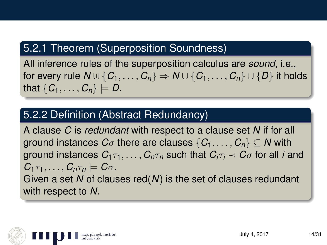## 5.2.1 Theorem (Superposition Soundness)

All inference rules of the superposition calculus are *sound*, i.e., for every rule  $N \cup \{C_1, \ldots, C_n\} \Rightarrow N \cup \{C_1, \ldots, C_n\} \cup \{D\}$  it holds that  $\{C_1, \ldots, C_n\} \models D$ .

#### 5.2.2 Definition (Abstract Redundancy)

A clause *C* is *redundant* with respect to a clause set *N* if for all ground instances  $C_{\sigma}$  there are clauses  $\{C_1, \ldots, C_n\} \subseteq N$  with ground instances  $C_1 \tau_1, \ldots, C_n \tau_n$  such that  $C_i \tau_i \prec C_{\sigma}$  for all *i* and  $C_1 \tau_1, \ldots, C_n \tau_n \models C \sigma$ . Given a set *N* of clauses red(*N*) is the set of clauses redundant with respect to *N*.

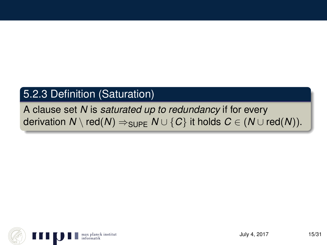# 5.2.3 Definition (Saturation)

A clause set *N* is *saturated up to redundancy* if for every derivation  $N \setminus \text{red}(N) \Rightarrow_{\text{SUPF}} N \cup \{C\}$  it holds  $C \in (N \cup \text{red}(N)).$ 

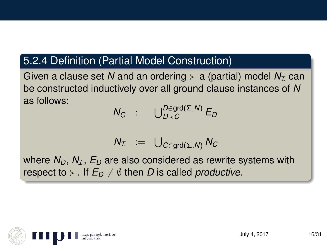#### 5.2.4 Definition (Partial Model Construction)

Given a clause set N and an ordering  $\succ$  a (partial) model  $N_{\mathcal{I}}$  can be constructed inductively over all ground clause instances of *N* as follows:

$$
N_C := \bigcup_{D \prec C}^{D \in \text{grd}(\Sigma, N)} E_D
$$

$$
N_{\mathcal{I}} \;\; := \;\; \bigcup_{C \in \text{grd}(\Sigma, N)} N_C
$$

where  $N_D$ ,  $N_T$ ,  $E_D$  are also considered as rewrite systems with respect to  $\succ$ . If  $E_D \neq \emptyset$  then *D* is called *productive*.

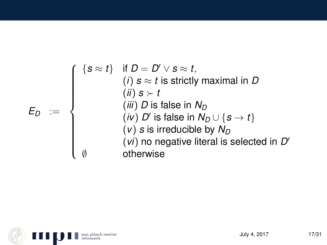$$
E_D := \begin{cases} \{s \approx t\} & \text{if } D = D' \vee s \approx t, \\ & (i) \ s \approx t \text{ is strictly maximal in } D \\ & (ii) \ s \succ t \\ & (iii) \ D \text{ is false in } N_D \\ & (iv) \ D' \text{ is false in } N_D \cup \{s \rightarrow t\} \\ & (v) \ s \text{ is irreducible by } N_D \\ & (vi) \ no \ negative \text{ literal is selected in } D' \\ & \text{otherwise} \end{cases}
$$

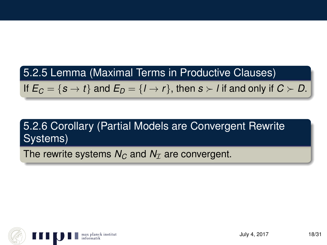# 5.2.5 Lemma (Maximal Terms in Productive Clauses)

If  $E_C = \{s \to t\}$  and  $E_D = \{l \to r\}$ , then  $s \succ l$  if and only if  $C \succ D$ .

# 5.2.6 Corollary (Partial Models are Convergent Rewrite Systems)

The rewrite systems  $N_C$  and  $N_T$  are convergent.

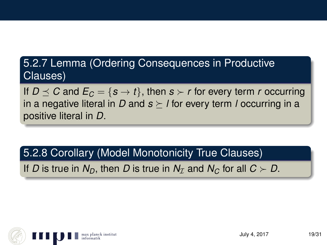## 5.2.7 Lemma (Ordering Consequences in Productive Clauses)

If  $D \le C$  and  $E_C = \{s \to t\}$ , then  $s \succ r$  for every term *r* occurring in a negative literal in *D* and  $s \ge l$  for every term *l* occurring in a positive literal in *D*.

#### 5.2.8 Corollary (Model Monotonicity True Clauses)

If *D* is true in  $N_D$ , then *D* is true in  $N_T$  and  $N_C$  for all  $C \succ D$ .

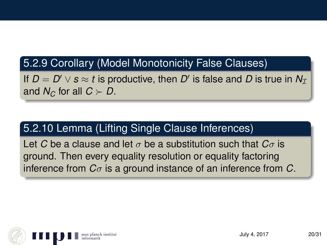## 5.2.9 Corollary (Model Monotonicity False Clauses)

If  $D = D' \vee s \approx t$  is productive, then  $D'$  is false and  $D$  is true in  $N_{\mathcal{I}}$ and  $N_C$  for all  $C \succ D$ .

# 5.2.10 Lemma (Lifting Single Clause Inferences)

Let *C* be a clause and let  $\sigma$  be a substitution such that  $C_{\sigma}$  is ground. Then every equality resolution or equality factoring inference from *C*σ is a ground instance of an inference from *C*.

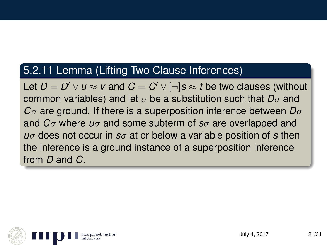#### 5.2.11 Lemma (Lifting Two Clause Inferences)

Let  $D = D' \lor u \approx v$  and  $C = C' \lor [\neg] s \approx t$  be two clauses (without common variables) and let σ be a substitution such that *D*σ and *C*σ are ground. If there is a superposition inference between *D*σ and *C*σ where *u*σ and some subterm of *s*σ are overlapped and *u*σ does not occur in *s*σ at or below a variable position of *s* then the inference is a ground instance of a superposition inference from *D* and *C*.

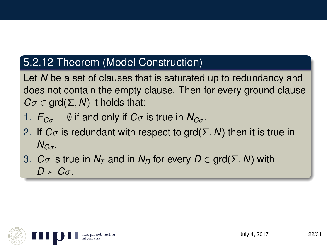## 5.2.12 Theorem (Model Construction)

Let *N* be a set of clauses that is saturated up to redundancy and does not contain the empty clause. Then for every ground clause  $C\sigma \in \text{grd}(\Sigma, N)$  it holds that:

- 1.  $E_{C_{\sigma}} = \emptyset$  if and only if  $C_{\sigma}$  is true in  $N_{C_{\sigma}}$ .
- 2. If  $C_{\sigma}$  is redundant with respect to grd( $\Sigma$ , N) then it is true in  $N_{C_{\sigma}}$ .
- 3. *C* $\sigma$  is true in  $N<sub>\mathcal{I}</sub>$  and in  $N<sub>D</sub>$  for every  $D \in \text{grd}(\Sigma, N)$  with  $D \succ C_{\sigma}$ .

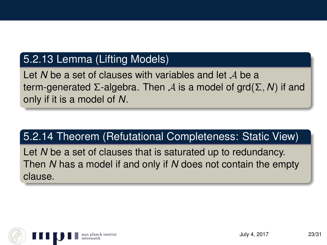#### 5.2.13 Lemma (Lifting Models)

Let N be a set of clauses with variables and let A be a term-generated Σ-algebra. Then A is a model of grd(Σ, *N*) if and only if it is a model of *N*.

#### 5.2.14 Theorem (Refutational Completeness: Static View)

Let *N* be a set of clauses that is saturated up to redundancy. Then *N* has a model if and only if *N* does not contain the empty clause.

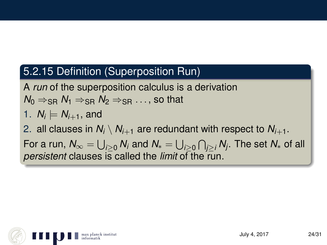## 5.2.15 Definition (Superposition Run)

A *run* of the superposition calculus is a derivation  $N_0 \Rightarrow_{\text{SR}} N_1 \Rightarrow_{\text{SR}} N_2 \Rightarrow_{\text{SR}} \dots$ , so that

1. 
$$
N_i \models N_{i+1}
$$
, and

2. all clauses in  $N_i \setminus N_{i+1}$  are redundant with respect to  $N_{i+1}$ .

For a run,  $\mathcal{N}_\infty=\bigcup_{i\geq 0}\mathcal{N}_i$  and  $\mathcal{N}_*=\bigcup_{i\geq 0}\bigcap_{j\geq i}\mathcal{N}_j.$  The set  $\mathcal{N}_*$  of all *persistent* clauses is called the *limit* of the run.

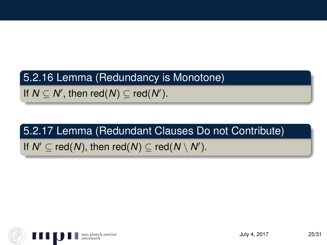#### 5.2.16 Lemma (Redundancy is Monotone)

If  $N \subseteq N'$ , then red( $N$ )  $\subseteq$  red( $N'$ ).

# 5.2.17 Lemma (Redundant Clauses Do not Contribute)

# If  $N' \subseteq \text{red}(N)$ , then red $(N) \subseteq \text{red}(N \setminus N')$ .

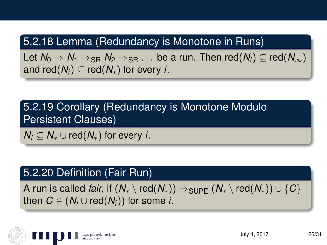## 5.2.18 Lemma (Redundancy is Monotone in Runs)

Let  $N_0 \Rightarrow N_1 \Rightarrow_{\text{SR}} N_2 \Rightarrow_{\text{SR}} \ldots$  be a run. Then red( $N_i$ ) ⊂ red( $N_{\infty}$ ) and red( $N_i$ )  $\subset$  red( $N_*$ ) for every *i*.

5.2.19 Corollary (Redundancy is Monotone Modulo Persistent Clauses)

*N<sub>i</sub>*  $\subset$  *N*<sup>∗</sup> ∪ red(*N*<sup>∗</sup>) for every *i*.

#### 5.2.20 Definition (Fair Run)

A run is called *fair*, if  $(N_* \setminus \text{red}(N_*)) \Rightarrow_{\text{SUPF}} (N_* \setminus \text{red}(N_*)) \cup \{C\}$ then  $C \in (N_i \cup \text{red}(N_i))$  for some *i*.